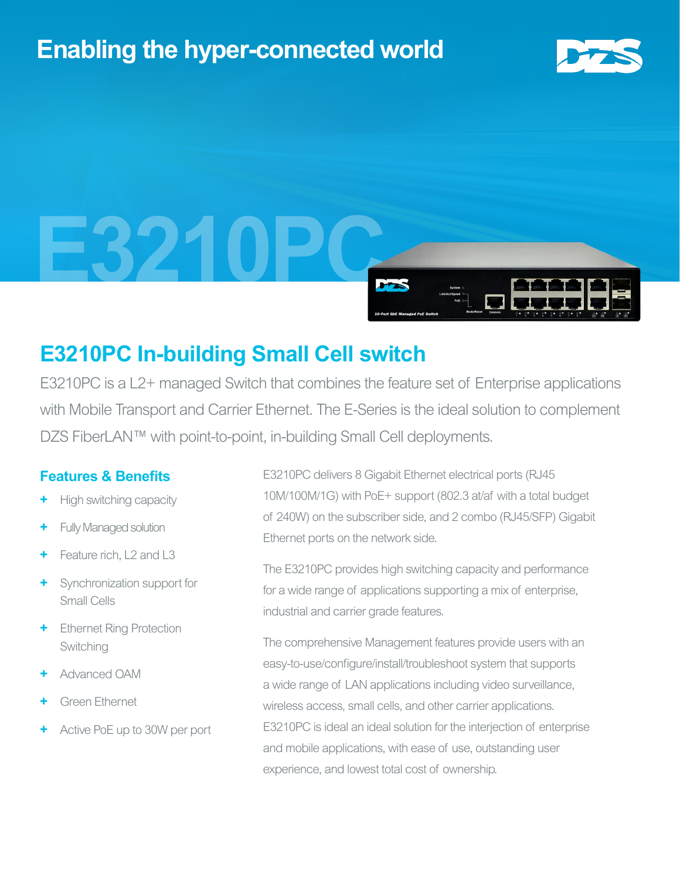# **Enabling the hyper-connected world**





## **E3210PC In-building Small Cell switch**

E3210PC is a L2+ managed Switch that combines the feature set of Enterprise applications with Mobile Transport and Carrier Ethernet. The E-Series is the ideal solution to complement DZS FiberLAN™ with point-to-point, in-building Small Cell deployments.

### **Features & Benefits**

- **+** High switching capacity
- **+** Fully Managed solution
- **+** Feature rich, L2 and L3
- **+** Synchronization support for Small Cells
- **Ethernet Ring Protection** Switching
- **+** Advanced OAM
- **+** Green Ethernet
- **+** Active PoE up to 30W per port

E3210PC delivers 8 Gigabit Ethernet electrical ports (RJ45 10M/100M/1G) with PoE+ support (802.3 at/af with a total budget of 240W) on the subscriber side, and 2 combo (RJ45/SFP) Gigabit Ethernet ports on the network side.

The E3210PC provides high switching capacity and performance for a wide range of applications supporting a mix of enterprise, industrial and carrier grade features.

The comprehensive Management features provide users with an easy-to-use/configure/install/troubleshoot system that supports a wide range of LAN applications including video surveillance, wireless access, small cells, and other carrier applications. E3210PC is ideal an ideal solution for the interjection of enterprise and mobile applications, with ease of use, outstanding user experience, and lowest total cost of ownership.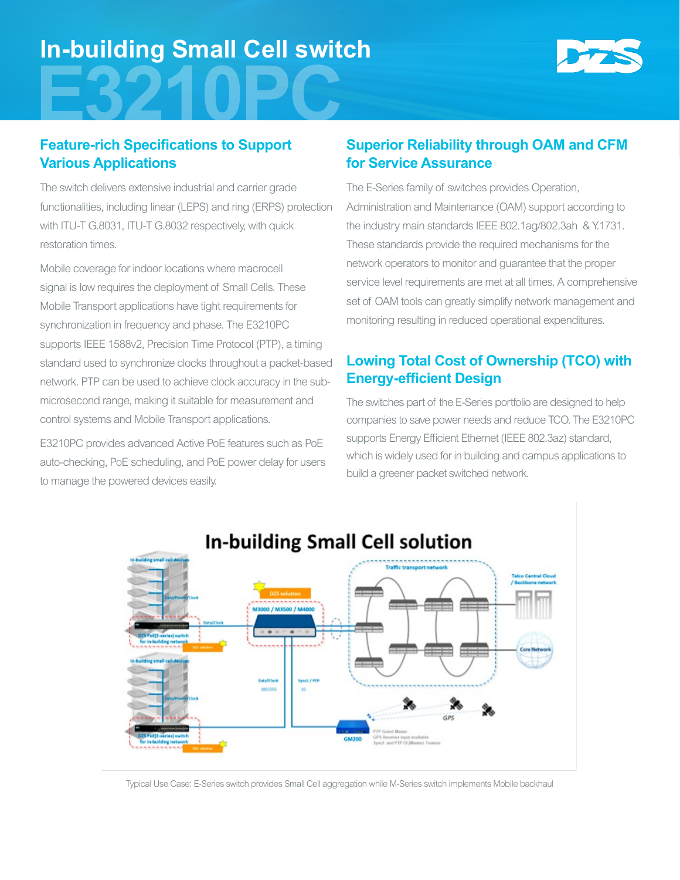# **In-building Small Cell switch**



### **Feature-rich Specifications to Support Various Applications**

The switch delivers extensive industrial and carrier grade functionalities, including linear (LEPS) and ring (ERPS) protection with ITU-T G.8031, ITU-T G.8032 respectively, with quick restoration times.

Mobile coverage for indoor locations where macrocell signal is low requires the deployment of Small Cells. These Mobile Transport applications have tight requirements for synchronization in frequency and phase. The E3210PC supports IEEE 1588v2, Precision Time Protocol (PTP), a timing standard used to synchronize clocks throughout a packet-based network. PTP can be used to achieve clock accuracy in the submicrosecond range, making it suitable for measurement and control systems and Mobile Transport applications.

E3210PC provides advanced Active PoE features such as PoE auto-checking, PoE scheduling, and PoE power delay for users to manage the powered devices easily.

### **Superior Reliability through OAM and CFM for Service Assurance**

The E-Series family of switches provides Operation, Administration and Maintenance (OAM) support according to the industry main standards IEEE 802.1ag/802.3ah & Y.1731. These standards provide the required mechanisms for the network operators to monitor and guarantee that the proper service level requirements are met at all times. A comprehensive set of OAM tools can greatly simplify network management and monitoring resulting in reduced operational expenditures.

### **Lowing Total Cost of Ownership (TCO) with Energy-efficient Design**

The switches part of the E-Series portfolio are designed to help companies to save power needs and reduce TCO. The E3210PC supports Energy Efficient Ethernet (IEEE 802.3az) standard, which is widely used for in building and campus applications to build a greener packet switched network.



Typical Use Case: E-Series switch provides Small Cell aggregation while M-Series switch implements Mobile backhaul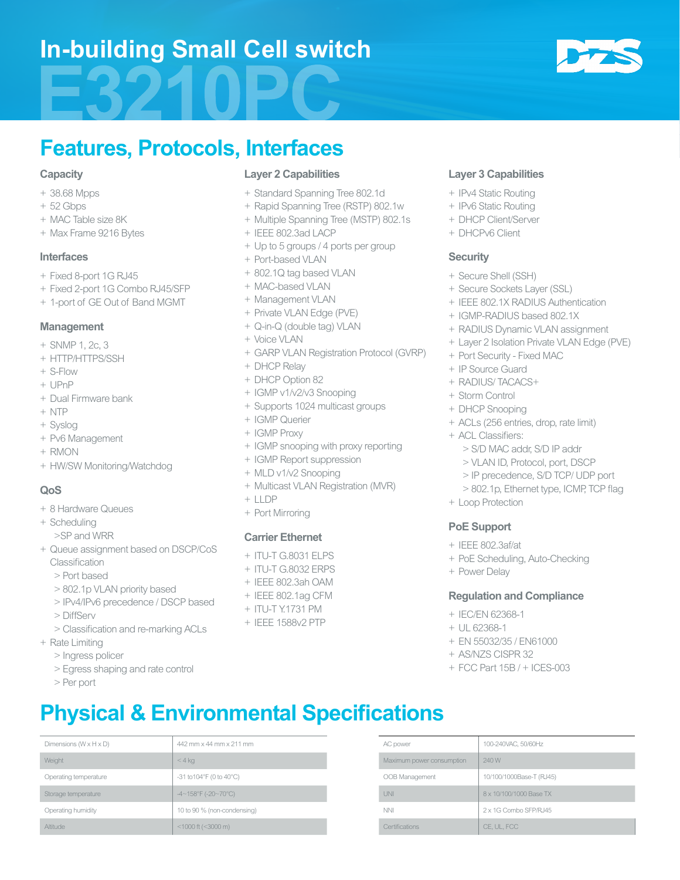## **In-building Small Cell switch**



## **Features, Protocols, Interfaces**

#### **Capacity**

- + 38.68 Mpps
- + 52 Gbps
- + MAC Table size 8K
- + Max Frame 9216 Bytes

#### **Interfaces**

- + Fixed 8-port 1G RJ45
- + Fixed 2-port 1G Combo RJ45/SFP
- + 1-port of GE Out of Band MGMT

#### **Management**

- + SNMP 1, 2c, 3
- + HTTP/HTTPS/SSH
- + S-Flow
- + UPnP
- + Dual Firmware bank
- + NTP
- + Syslog
- + Pv6 Management
- + RMON
- + HW/SW Monitoring/Watchdog

#### **QoS**

- + 8 Hardware Queues
- + Scheduling
	- >SP and WRR
- + Queue assignment based on DSCP/CoS Classification
	- > Port based
	- > 802.1p VLAN priority based
	- > IPv4/IPv6 precedence / DSCP based
	- > DiffServ
	- > Classification and re-marking ACLs
- + Rate Limiting
	- > Ingress policer
	- > Egress shaping and rate control
	- > Per port

#### **Layer 2 Capabilities**

- + Standard Spanning Tree 802.1d
- + Rapid Spanning Tree (RSTP) 802.1w
- + Multiple Spanning Tree (MSTP) 802.1s
- + IEEE 802.3ad LACP
- + Up to 5 groups / 4 ports per group
- + Port-based VLAN
- + 802.1Q tag based VLAN
- + MAC-based VLAN
- + Management VLAN
- + Private VLAN Edge (PVE)
- + Q-in-Q (double tag) VLAN
- + Voice VLAN
- + GARP VLAN Registration Protocol (GVRP)
- + DHCP Relay
- + DHCP Option 82
- + IGMP v1/v2/v3 Snooping
- + Supports 1024 multicast groups
- + IGMP Querier
- + IGMP Proxy
- + IGMP snooping with proxy reporting
- + IGMP Report suppression
- + MLD v1/v2 Snooping
- + Multicast VLAN Registration (MVR)
- $+$  LLDP
- + Port Mirroring

#### **Carrier Ethernet**

- + ITU-T G.8031 ELPS
- + ITU-T G.8032 ERPS
- + IEEE 802.3ah OAM
- + IEEE 802.1ag CFM
- + ITU-T Y.1731 PM
- + IEEE 1588v2 PTP

Dimensions (W x H x D) 442 mm x 44 mm x 211 mm 442 mm AC power 400-240VAC, 50/60Hz

Operating temperature  $-31$  to 104°F (0 to 40°C) ODB Management 10/100/1000Base-T (RJ45) Storage temperature and the storage temperature  $4~\sim158^{\circ}$  (-20~70°C) and the storage temperature and the storage temperature  $8\times10/100/1000$  Base TX Operating humidity 10 to 90 % (non-condensing) NNI NNI 2 x 1G Combo SFP/RJ45

Weight **Maximum power consumption** 240 W

Altitude example and the control of  $\leq 3000$  m) control of the control of the certifications Certifications CE, UL, FCC

**Physical & Environmental Specifications**

#### **Layer 3 Capabilities**

- + IPv4 Static Routing
- + IPv6 Static Routing
- + DHCP Client/Server
- + DHCPv6 Client

#### **Security**

- + Secure Shell (SSH)
- + Secure Sockets Layer (SSL)
- + IEEE 802.1X RADIUS Authentication
- + IGMP-RADIUS based 802.1X
- + RADIUS Dynamic VLAN assignment
- + Layer 2 Isolation Private VLAN Edge (PVE)
- + Port Security Fixed MAC
- + IP Source Guard
- + RADIUS/ TACACS+
- + Storm Control
- + DHCP Snooping
- + ACLs (256 entries, drop, rate limit)
- + ACL Classifiers:
	- > S/D MAC addr, S/D IP addr
	- > VLAN ID, Protocol, port, DSCP
	- > IP precedence, S/D TCP/ UDP port
	- > 802.1p, Ethernet type, ICMP, TCP flag
- + Loop Protection

#### **PoE Support**

- + IEEE 802.3af/at
- + PoE Scheduling, Auto-Checking
- + Power Delay

#### **Regulation and Compliance**

+ EN 55032/35 / EN61000 + AS/NZS CISPR 32

+ FCC Part 15B / + ICES-003

+ IEC/EN 62368-1 + UL 62368-1